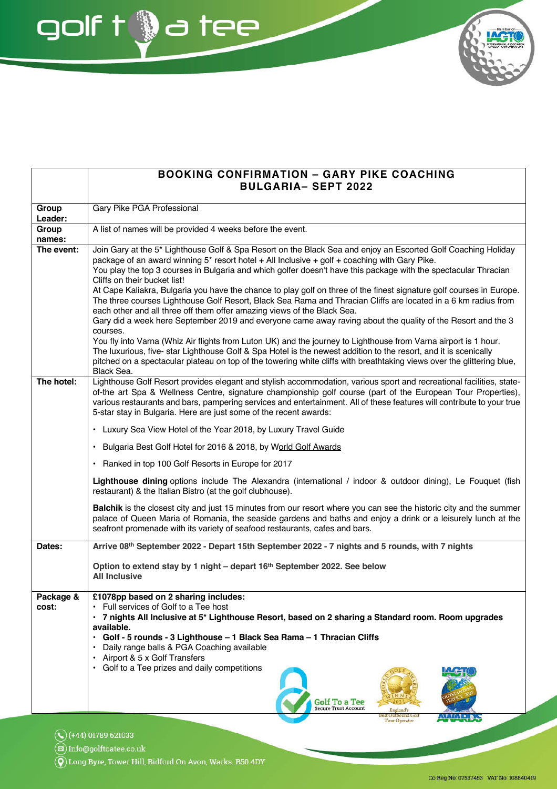**BOOKING CONFIRMATION - GARY PIKE COACHING BULGARIA- SEPT 2022** Group Gary Pike PGA Professional Leader: Group A list of names will be provided 4 weeks before the event. names: The event: Join Gary at the 5\* Lighthouse Golf & Spa Resort on the Black Sea and enjoy an Escorted Golf Coaching Holiday package of an award winning 5\* resort hotel + All Inclusive + golf + coaching with Gary Pike. You play the top 3 courses in Bulgaria and which golfer doesn't have this package with the spectacular Thracian Cliffs on their bucket list! At Cape Kaliakra, Bulgaria you have the chance to play golf on three of the finest signature golf courses in Europe. The three courses Lighthouse Golf Resort, Black Sea Rama and Thracian Cliffs are located in a 6 km radius from each other and all three off them offer amazing views of the Black Sea. Gary did a week here September 2019 and everyone came away raving about the quality of the Resort and the 3 courses. You fly into Varna (Whiz Air flights from Luton UK) and the journey to Lighthouse from Varna airport is 1 hour. The luxurious, five-star Lighthouse Golf & Spa Hotel is the newest addition to the resort, and it is scenically pitched on a spectacular plateau on top of the towering white cliffs with breathtaking views over the glittering blue, Black Sea. Lighthouse Golf Resort provides elegant and stylish accommodation, various sport and recreational facilities. state-The hotel: of-the art Spa & Wellness Centre, signature championship golf course (part of the European Tour Properties). various restaurants and bars, pampering services and entertainment. All of these features will contribute to your true 5-star stay in Bulgaria. Here are just some of the recent awards: Luxury Sea View Hotel of the Year 2018, by Luxury Travel Guide • Bulgaria Best Golf Hotel for 2016 & 2018, by World Golf Awards • Ranked in top 100 Golf Resorts in Europe for 2017 Lighthouse dining options include The Alexandra (international / indoor & outdoor dining), Le Fouguet (fish restaurant) & the Italian Bistro (at the golf clubhouse). Balchik is the closest city and just 15 minutes from our resort where you can see the historic city and the summer palace of Queen Maria of Romania, the seaside gardens and baths and enjoy a drink or a leisurely lunch at the seafront promenade with its variety of seafood restaurants, cafes and bars. Dates: Arrive 08<sup>th</sup> September 2022 - Depart 15th September 2022 - 7 nights and 5 rounds, with 7 nights Option to extend stay by 1 night - depart 16th September 2022. See below **All Inclusive** Package & £1078pp based on 2 sharing includes: cost: • Full services of Golf to a Tee host · 7 nights All Inclusive at 5\* Lighthouse Resort, based on 2 sharing a Standard room. Room upgrades available. Golf - 5 rounds - 3 Lighthouse - 1 Black Sea Rama - 1 Thracian Cliffs  $\bullet$ Daily range balls & PGA Coaching available Airport & 5 x Golf Transfers • Golf to a Tee prizes and daily competitions **Golf To a Tee** 

 $\mathbb{Q}$  (+44) 01789 621033

ශ) Info@golftoatee.co.uk

Long Byre, Tower Hill, Bidford On Avon, Warks. B50 4DY

golf t @a tee